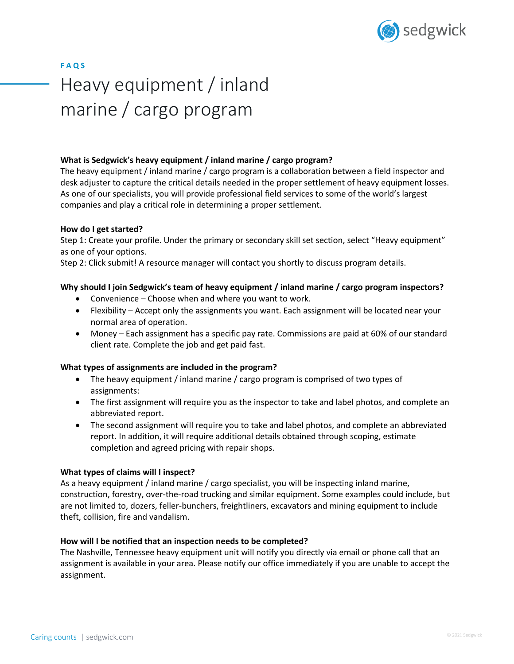

**F A Q S** Heavy equipment / inland marine / cargo program

## **What is Sedgwick's heavy equipment / inland marine / cargo program?**

The heavy equipment / inland marine / cargo program is a collaboration between a field inspector and desk adjuster to capture the critical details needed in the proper settlement of heavy equipment losses. As one of our specialists, you will provide professional field services to some of the world's largest companies and play a critical role in determining a proper settlement.

#### **How do I get started?**

Step 1: Create your profile. Under the primary or secondary skill set section, select "Heavy equipment" as one of your options.

Step 2: Click submit! A resource manager will contact you shortly to discuss program details.

### **Why should I join Sedgwick's team of heavy equipment / inland marine / cargo program inspectors?**

- Convenience Choose when and where you want to work.
- Flexibility Accept only the assignments you want. Each assignment will be located near your normal area of operation.
- Money Each assignment has a specific pay rate. Commissions are paid at 60% of our standard client rate. Complete the job and get paid fast.

#### **What types of assignments are included in the program?**

- The heavy equipment / inland marine / cargo program is comprised of two types of assignments:
- The first assignment will require you as the inspector to take and label photos, and complete an abbreviated report.
- The second assignment will require you to take and label photos, and complete an abbreviated report. In addition, it will require additional details obtained through scoping, estimate completion and agreed pricing with repair shops.

#### **What types of claims will I inspect?**

As a heavy equipment / inland marine / cargo specialist, you will be inspecting inland marine, construction, forestry, over-the-road trucking and similar equipment. Some examples could include, but are not limited to, dozers, feller-bunchers, freightliners, excavators and mining equipment to include theft, collision, fire and vandalism.

#### **How will I be notified that an inspection needs to be completed?**

The Nashville, Tennessee heavy equipment unit will notify you directly via email or phone call that an assignment is available in your area. Please notify our office immediately if you are unable to accept the assignment.